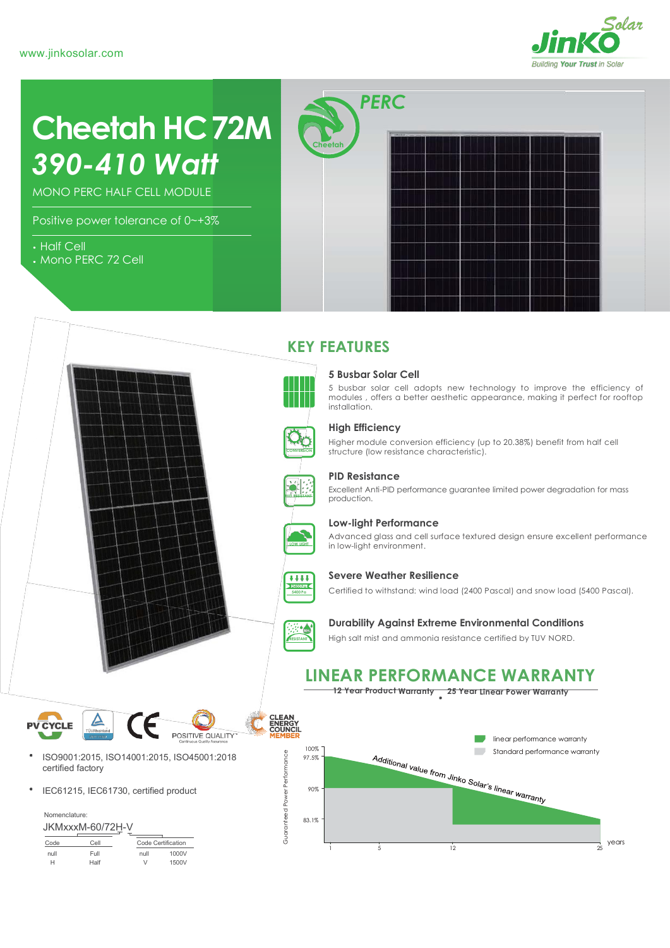

# **Cheetah HC72M** *390-410 Watt*

MONO PERC HALF CELL MODULE

Positive power tolerance of 0~+3%

- Half Cell
- Mono PERC 72 Cell



# **KEY FEATURES**

installation.



### **High Efficiency**

**5 Busbar Solar Cell**

Higher module conversion efficiency (up to 20.38%) benefit from half cell structure (low resistance characteristic).

5 busbar solar cell adopts new technology to improve the efficiency of modules , offers a better aesthetic appearance, making it perfect for rooftop



**PIID RESISTANT**

#### **PID Resistance**

Excellent Anti-PID performance guarantee limited power degradation for mass production.



#### **Low-light Performance**

Advanced glass and cell surface textured design ensure excellent performance in low-light environment.



### **Severe Weather Resilience**

Certified to withstand: wind load (2400 Pascal) and snow load (5400 Pascal).



#### **Durability Against Extreme Environmental Conditions**

High salt mist and ammonia resistance certified by TUV NORD.

# **LINEAR PERFORMANCE WARRANTY**

**12 Year Product Warranty 25 Year Linear Power Warranty**





- ISO9001:2015, ISO14001:2015, ISO45001:2018 certified factory
- IEC61215, IEC61730, certified product

|      | JKMxxxM-60/72H-V |                    |       |
|------|------------------|--------------------|-------|
| Code | Cell             | Code Certification |       |
| null | Full             | null               | 1000V |

| null | Full | null | 1000V |
|------|------|------|-------|
| н    | Half | ٧    | 1500V |